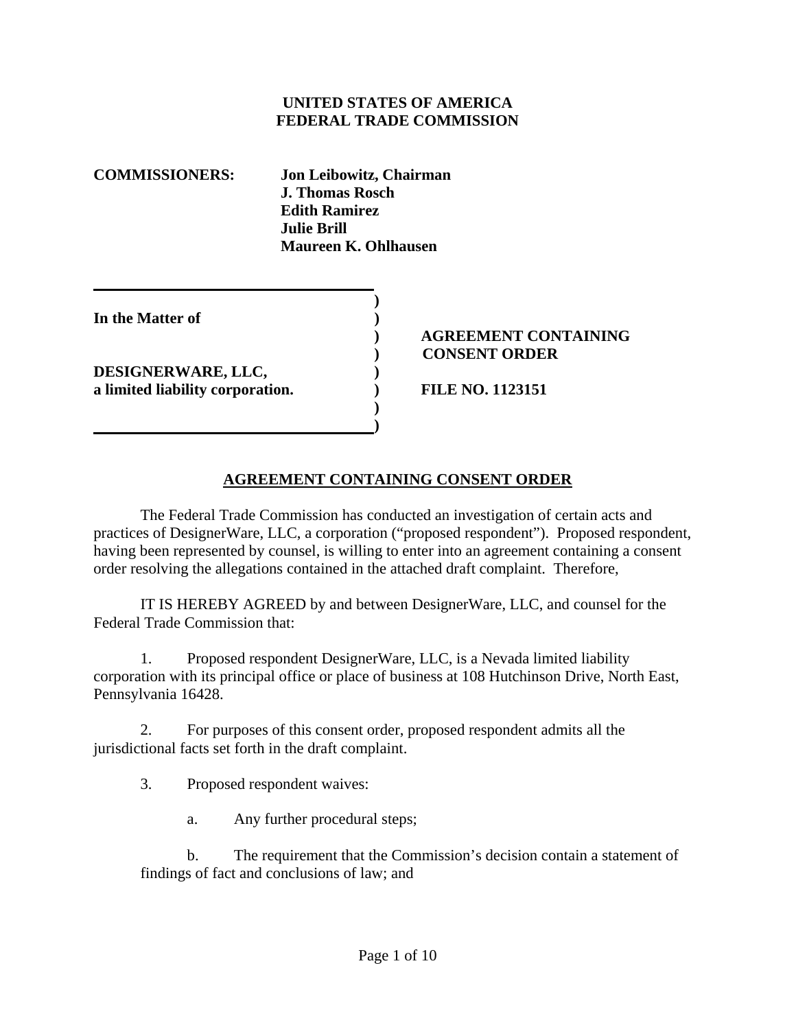#### **UNITED STATES OF AMERICA FEDERAL TRADE COMMISSION**

| <b>COMMISSIONERS:</b>            | Jon Leibowitz, Chairman<br><b>J. Thomas Rosch</b><br><b>Edith Ramirez</b><br><b>Julie Brill</b><br>Maureen K. Ohlhausen |  |     |
|----------------------------------|-------------------------------------------------------------------------------------------------------------------------|--|-----|
| In the Matter of                 |                                                                                                                         |  | AGR |
| DESIGNERWARE, LLC,               |                                                                                                                         |  | CON |
| a limited liability corporation. |                                                                                                                         |  |     |

**1 (a) (b) (b) (b) (b) (b) (c) (d)** 

### **) AGREEMENT CONTAINING ) CONSENT ORDER**

**a limited liability corporation. ) FILE NO. 1123151** 

### **AGREEMENT CONTAINING CONSENT ORDER**

 The Federal Trade Commission has conducted an investigation of certain acts and practices of DesignerWare, LLC, a corporation ("proposed respondent"). Proposed respondent, having been represented by counsel, is willing to enter into an agreement containing a consent order resolving the allegations contained in the attached draft complaint. Therefore,

 IT IS HEREBY AGREED by and between DesignerWare, LLC, and counsel for the Federal Trade Commission that:

1. Proposed respondent DesignerWare, LLC, is a Nevada limited liability corporation with its principal office or place of business at 108 Hutchinson Drive, North East, Pennsylvania 16428.

2. For purposes of this consent order, proposed respondent admits all the jurisdictional facts set forth in the draft complaint.

3. Proposed respondent waives:

a. Any further procedural steps;

b. The requirement that the Commission's decision contain a statement of findings of fact and conclusions of law; and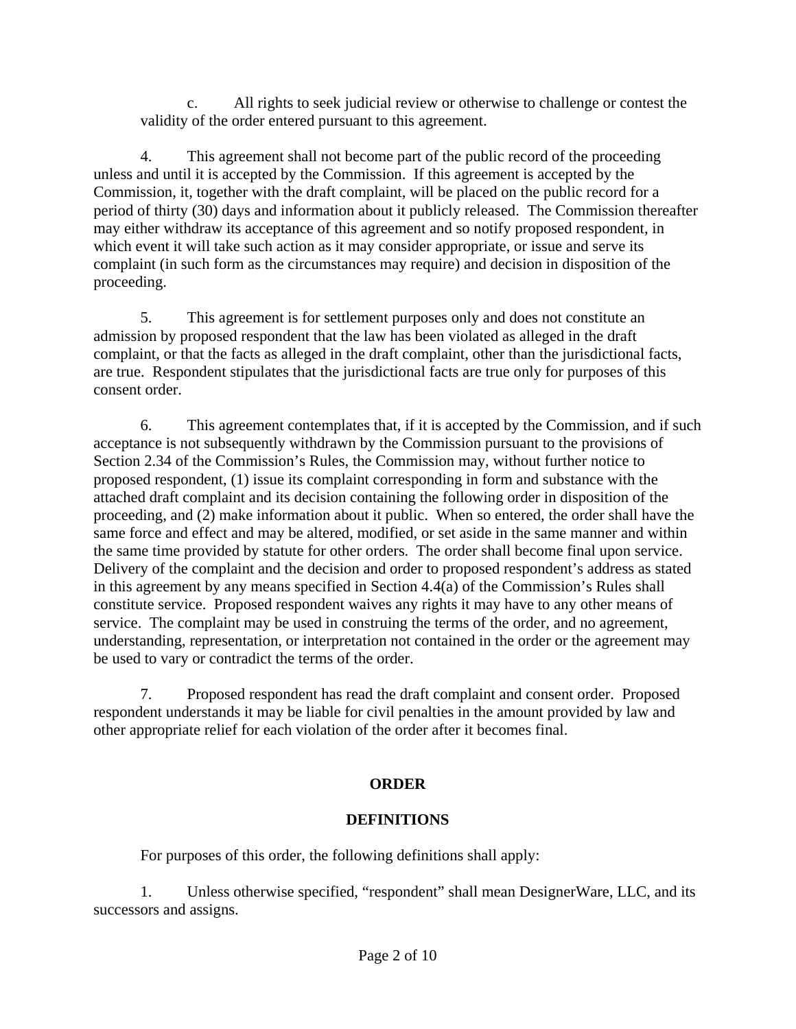c. All rights to seek judicial review or otherwise to challenge or contest the validity of the order entered pursuant to this agreement.

4. This agreement shall not become part of the public record of the proceeding unless and until it is accepted by the Commission. If this agreement is accepted by the Commission, it, together with the draft complaint, will be placed on the public record for a period of thirty (30) days and information about it publicly released. The Commission thereafter may either withdraw its acceptance of this agreement and so notify proposed respondent, in which event it will take such action as it may consider appropriate, or issue and serve its complaint (in such form as the circumstances may require) and decision in disposition of the proceeding.

5. This agreement is for settlement purposes only and does not constitute an admission by proposed respondent that the law has been violated as alleged in the draft complaint, or that the facts as alleged in the draft complaint, other than the jurisdictional facts, are true. Respondent stipulates that the jurisdictional facts are true only for purposes of this consent order.

6. This agreement contemplates that, if it is accepted by the Commission, and if such acceptance is not subsequently withdrawn by the Commission pursuant to the provisions of Section 2.34 of the Commission's Rules, the Commission may, without further notice to proposed respondent, (1) issue its complaint corresponding in form and substance with the attached draft complaint and its decision containing the following order in disposition of the proceeding, and (2) make information about it public. When so entered, the order shall have the same force and effect and may be altered, modified, or set aside in the same manner and within the same time provided by statute for other orders. The order shall become final upon service. Delivery of the complaint and the decision and order to proposed respondent's address as stated in this agreement by any means specified in Section 4.4(a) of the Commission's Rules shall constitute service. Proposed respondent waives any rights it may have to any other means of service. The complaint may be used in construing the terms of the order, and no agreement, understanding, representation, or interpretation not contained in the order or the agreement may be used to vary or contradict the terms of the order.

7. Proposed respondent has read the draft complaint and consent order. Proposed respondent understands it may be liable for civil penalties in the amount provided by law and other appropriate relief for each violation of the order after it becomes final.

## **ORDER**

## **DEFINITIONS**

For purposes of this order, the following definitions shall apply:

1. Unless otherwise specified, "respondent" shall mean DesignerWare, LLC, and its successors and assigns.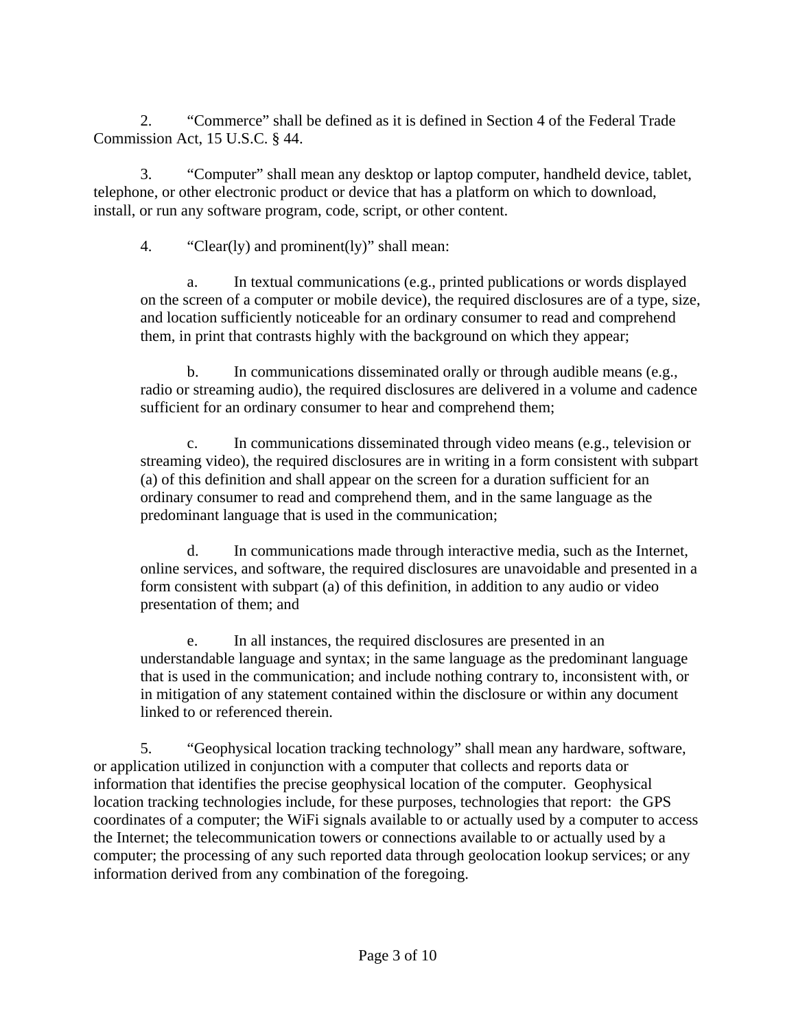2. "Commerce" shall be defined as it is defined in Section 4 of the Federal Trade Commission Act, 15 U.S.C. § 44.

3. "Computer" shall mean any desktop or laptop computer, handheld device, tablet, telephone, or other electronic product or device that has a platform on which to download, install, or run any software program, code, script, or other content.

4. "Clear(ly) and prominent(ly)" shall mean:

a. In textual communications (e.g., printed publications or words displayed on the screen of a computer or mobile device), the required disclosures are of a type, size, and location sufficiently noticeable for an ordinary consumer to read and comprehend them, in print that contrasts highly with the background on which they appear;

b. In communications disseminated orally or through audible means (e.g., radio or streaming audio), the required disclosures are delivered in a volume and cadence sufficient for an ordinary consumer to hear and comprehend them;

c. In communications disseminated through video means (e.g., television or streaming video), the required disclosures are in writing in a form consistent with subpart (a) of this definition and shall appear on the screen for a duration sufficient for an ordinary consumer to read and comprehend them, and in the same language as the predominant language that is used in the communication;

d. In communications made through interactive media, such as the Internet, online services, and software, the required disclosures are unavoidable and presented in a form consistent with subpart (a) of this definition, in addition to any audio or video presentation of them; and

e. In all instances, the required disclosures are presented in an understandable language and syntax; in the same language as the predominant language that is used in the communication; and include nothing contrary to, inconsistent with, or in mitigation of any statement contained within the disclosure or within any document linked to or referenced therein.

5. "Geophysical location tracking technology" shall mean any hardware, software, or application utilized in conjunction with a computer that collects and reports data or information that identifies the precise geophysical location of the computer. Geophysical location tracking technologies include, for these purposes, technologies that report: the GPS coordinates of a computer; the WiFi signals available to or actually used by a computer to access the Internet; the telecommunication towers or connections available to or actually used by a computer; the processing of any such reported data through geolocation lookup services; or any information derived from any combination of the foregoing.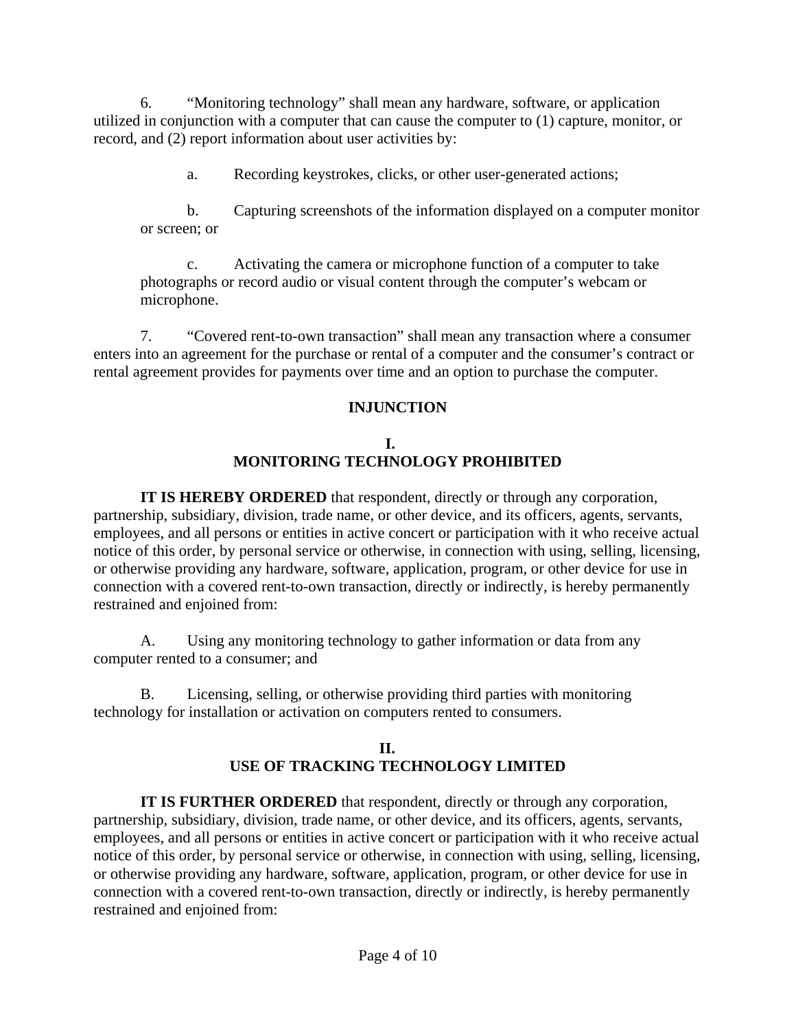6. "Monitoring technology" shall mean any hardware, software, or application utilized in conjunction with a computer that can cause the computer to (1) capture, monitor, or record, and (2) report information about user activities by:

a. Recording keystrokes, clicks, or other user-generated actions;

b. Capturing screenshots of the information displayed on a computer monitor or screen; or

c. Activating the camera or microphone function of a computer to take photographs or record audio or visual content through the computer's webcam or microphone.

7. "Covered rent-to-own transaction" shall mean any transaction where a consumer enters into an agreement for the purchase or rental of a computer and the consumer's contract or rental agreement provides for payments over time and an option to purchase the computer.

### **INJUNCTION**

### **I. MONITORING TECHNOLOGY PROHIBITED**

**IT IS HEREBY ORDERED** that respondent, directly or through any corporation, partnership, subsidiary, division, trade name, or other device, and its officers, agents, servants, employees, and all persons or entities in active concert or participation with it who receive actual notice of this order, by personal service or otherwise, in connection with using, selling, licensing, or otherwise providing any hardware, software, application, program, or other device for use in connection with a covered rent-to-own transaction, directly or indirectly, is hereby permanently restrained and enjoined from:

A. Using any monitoring technology to gather information or data from any computer rented to a consumer; and

B. Licensing, selling, or otherwise providing third parties with monitoring technology for installation or activation on computers rented to consumers.

### **II. USE OF TRACKING TECHNOLOGY LIMITED**

**IT IS FURTHER ORDERED** that respondent, directly or through any corporation, partnership, subsidiary, division, trade name, or other device, and its officers, agents, servants, employees, and all persons or entities in active concert or participation with it who receive actual notice of this order, by personal service or otherwise, in connection with using, selling, licensing, or otherwise providing any hardware, software, application, program, or other device for use in connection with a covered rent-to-own transaction, directly or indirectly, is hereby permanently restrained and enjoined from: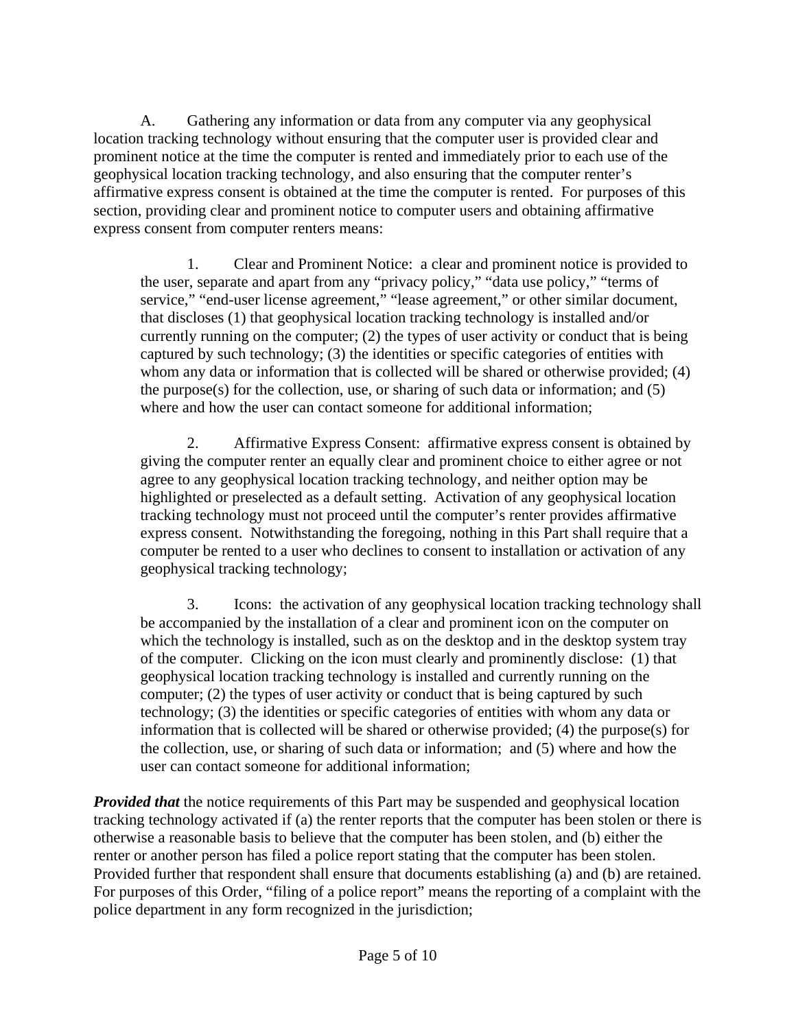A. Gathering any information or data from any computer via any geophysical location tracking technology without ensuring that the computer user is provided clear and prominent notice at the time the computer is rented and immediately prior to each use of the geophysical location tracking technology, and also ensuring that the computer renter's affirmative express consent is obtained at the time the computer is rented. For purposes of this section, providing clear and prominent notice to computer users and obtaining affirmative express consent from computer renters means:

1. Clear and Prominent Notice: a clear and prominent notice is provided to the user, separate and apart from any "privacy policy," "data use policy," "terms of service," "end-user license agreement," "lease agreement," or other similar document, that discloses (1) that geophysical location tracking technology is installed and/or currently running on the computer; (2) the types of user activity or conduct that is being captured by such technology; (3) the identities or specific categories of entities with whom any data or information that is collected will be shared or otherwise provided; (4) the purpose(s) for the collection, use, or sharing of such data or information; and (5) where and how the user can contact someone for additional information;

2. Affirmative Express Consent: affirmative express consent is obtained by giving the computer renter an equally clear and prominent choice to either agree or not agree to any geophysical location tracking technology, and neither option may be highlighted or preselected as a default setting. Activation of any geophysical location tracking technology must not proceed until the computer's renter provides affirmative express consent. Notwithstanding the foregoing, nothing in this Part shall require that a computer be rented to a user who declines to consent to installation or activation of any geophysical tracking technology;

3. Icons: the activation of any geophysical location tracking technology shall be accompanied by the installation of a clear and prominent icon on the computer on which the technology is installed, such as on the desktop and in the desktop system tray of the computer. Clicking on the icon must clearly and prominently disclose: (1) that geophysical location tracking technology is installed and currently running on the computer; (2) the types of user activity or conduct that is being captured by such technology; (3) the identities or specific categories of entities with whom any data or information that is collected will be shared or otherwise provided; (4) the purpose(s) for the collection, use, or sharing of such data or information; and (5) where and how the user can contact someone for additional information;

*Provided that* the notice requirements of this Part may be suspended and geophysical location tracking technology activated if (a) the renter reports that the computer has been stolen or there is otherwise a reasonable basis to believe that the computer has been stolen, and (b) either the renter or another person has filed a police report stating that the computer has been stolen. Provided further that respondent shall ensure that documents establishing (a) and (b) are retained. For purposes of this Order, "filing of a police report" means the reporting of a complaint with the police department in any form recognized in the jurisdiction;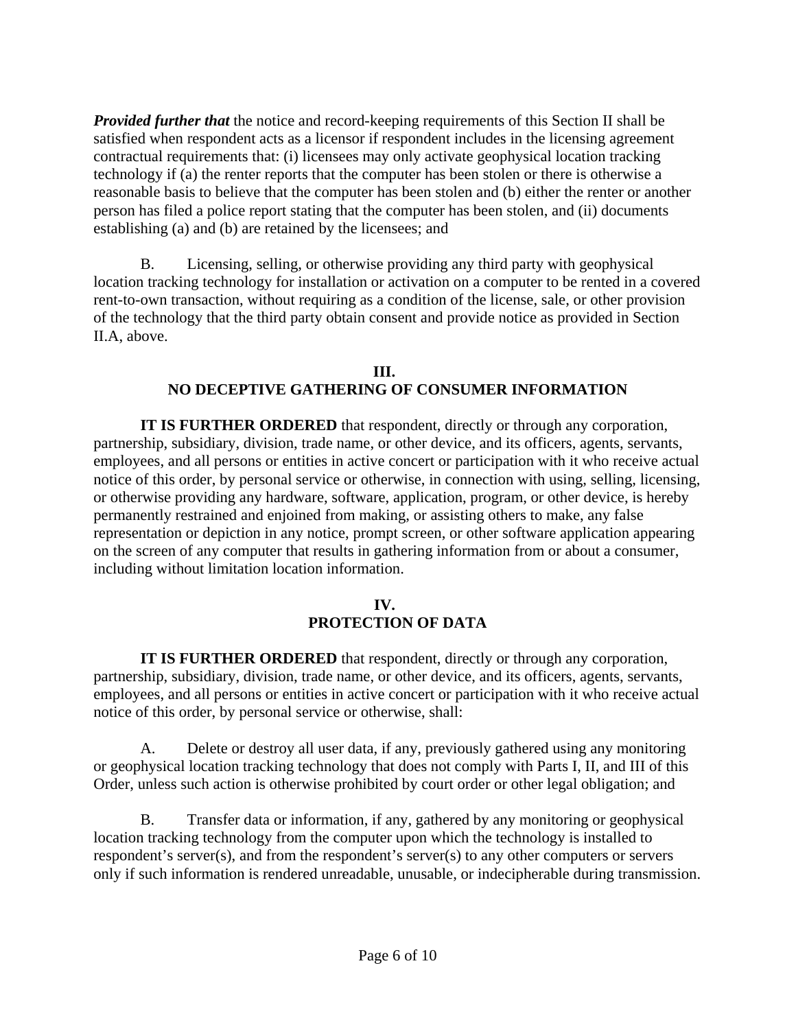*Provided further that* the notice and record-keeping requirements of this Section II shall be satisfied when respondent acts as a licensor if respondent includes in the licensing agreement contractual requirements that: (i) licensees may only activate geophysical location tracking technology if (a) the renter reports that the computer has been stolen or there is otherwise a reasonable basis to believe that the computer has been stolen and (b) either the renter or another person has filed a police report stating that the computer has been stolen, and (ii) documents establishing (a) and (b) are retained by the licensees; and

B. Licensing, selling, or otherwise providing any third party with geophysical location tracking technology for installation or activation on a computer to be rented in a covered rent-to-own transaction, without requiring as a condition of the license, sale, or other provision of the technology that the third party obtain consent and provide notice as provided in Section II.A, above.

#### **III. NO DECEPTIVE GATHERING OF CONSUMER INFORMATION**

**IT IS FURTHER ORDERED** that respondent, directly or through any corporation, partnership, subsidiary, division, trade name, or other device, and its officers, agents, servants, employees, and all persons or entities in active concert or participation with it who receive actual notice of this order, by personal service or otherwise, in connection with using, selling, licensing, or otherwise providing any hardware, software, application, program, or other device, is hereby permanently restrained and enjoined from making, or assisting others to make, any false representation or depiction in any notice, prompt screen, or other software application appearing on the screen of any computer that results in gathering information from or about a consumer, including without limitation location information.

### **IV. PROTECTION OF DATA**

**IT IS FURTHER ORDERED** that respondent, directly or through any corporation, partnership, subsidiary, division, trade name, or other device, and its officers, agents, servants, employees, and all persons or entities in active concert or participation with it who receive actual notice of this order, by personal service or otherwise, shall:

A. Delete or destroy all user data, if any, previously gathered using any monitoring or geophysical location tracking technology that does not comply with Parts I, II, and III of this Order, unless such action is otherwise prohibited by court order or other legal obligation; and

B. Transfer data or information, if any, gathered by any monitoring or geophysical location tracking technology from the computer upon which the technology is installed to respondent's server(s), and from the respondent's server(s) to any other computers or servers only if such information is rendered unreadable, unusable, or indecipherable during transmission.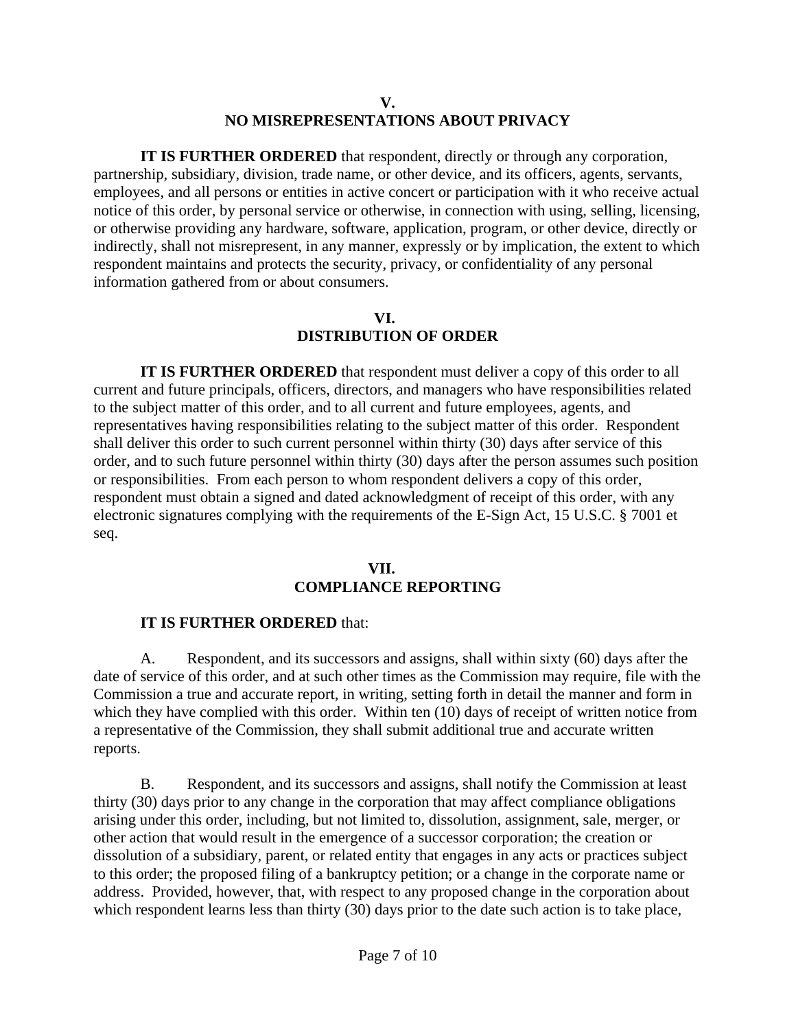#### **V. NO MISREPRESENTATIONS ABOUT PRIVACY**

**IT IS FURTHER ORDERED** that respondent, directly or through any corporation, partnership, subsidiary, division, trade name, or other device, and its officers, agents, servants, employees, and all persons or entities in active concert or participation with it who receive actual notice of this order, by personal service or otherwise, in connection with using, selling, licensing, or otherwise providing any hardware, software, application, program, or other device, directly or indirectly, shall not misrepresent, in any manner, expressly or by implication, the extent to which respondent maintains and protects the security, privacy, or confidentiality of any personal information gathered from or about consumers.

### **VI. DISTRIBUTION OF ORDER**

**IT IS FURTHER ORDERED** that respondent must deliver a copy of this order to all current and future principals, officers, directors, and managers who have responsibilities related to the subject matter of this order, and to all current and future employees, agents, and representatives having responsibilities relating to the subject matter of this order. Respondent shall deliver this order to such current personnel within thirty (30) days after service of this order, and to such future personnel within thirty (30) days after the person assumes such position or responsibilities. From each person to whom respondent delivers a copy of this order, respondent must obtain a signed and dated acknowledgment of receipt of this order, with any electronic signatures complying with the requirements of the E-Sign Act, 15 U.S.C. § 7001 et seq.

#### **VII.**

## **COMPLIANCE REPORTING**

### **IT IS FURTHER ORDERED** that:

A. Respondent, and its successors and assigns, shall within sixty (60) days after the date of service of this order, and at such other times as the Commission may require, file with the Commission a true and accurate report, in writing, setting forth in detail the manner and form in which they have complied with this order. Within ten (10) days of receipt of written notice from a representative of the Commission, they shall submit additional true and accurate written reports.

B. Respondent, and its successors and assigns, shall notify the Commission at least thirty (30) days prior to any change in the corporation that may affect compliance obligations arising under this order, including, but not limited to, dissolution, assignment, sale, merger, or other action that would result in the emergence of a successor corporation; the creation or dissolution of a subsidiary, parent, or related entity that engages in any acts or practices subject to this order; the proposed filing of a bankruptcy petition; or a change in the corporate name or address. Provided, however, that, with respect to any proposed change in the corporation about which respondent learns less than thirty (30) days prior to the date such action is to take place,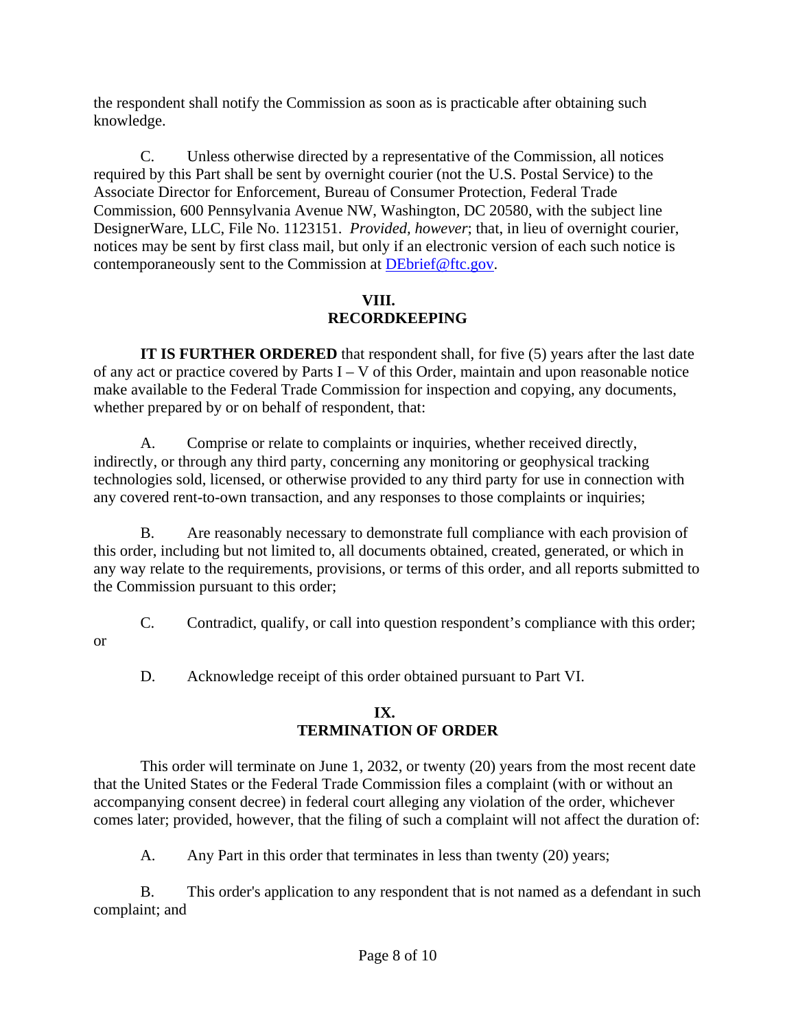the respondent shall notify the Commission as soon as is practicable after obtaining such knowledge.

C. Unless otherwise directed by a representative of the Commission, all notices required by this Part shall be sent by overnight courier (not the U.S. Postal Service) to the Associate Director for Enforcement, Bureau of Consumer Protection, Federal Trade Commission, 600 Pennsylvania Avenue NW, Washington, DC 20580, with the subject line DesignerWare, LLC, File No. 1123151. *Provided, however*; that, in lieu of overnight courier, notices may be sent by first class mail, but only if an electronic version of each such notice is contemporaneously sent to the Commission at DEbrief@ftc.gov.

### **VIII. RECORDKEEPING**

**IT IS FURTHER ORDERED** that respondent shall, for five (5) years after the last date of any act or practice covered by Parts  $I - V$  of this Order, maintain and upon reasonable notice make available to the Federal Trade Commission for inspection and copying, any documents, whether prepared by or on behalf of respondent, that:

A. Comprise or relate to complaints or inquiries, whether received directly, indirectly, or through any third party, concerning any monitoring or geophysical tracking technologies sold, licensed, or otherwise provided to any third party for use in connection with any covered rent-to-own transaction, and any responses to those complaints or inquiries;

B. Are reasonably necessary to demonstrate full compliance with each provision of this order, including but not limited to, all documents obtained, created, generated, or which in any way relate to the requirements, provisions, or terms of this order, and all reports submitted to the Commission pursuant to this order;

C. Contradict, qualify, or call into question respondent's compliance with this order;

D. Acknowledge receipt of this order obtained pursuant to Part VI.

or

## **IX. TERMINATION OF ORDER**

This order will terminate on June 1, 2032, or twenty (20) years from the most recent date that the United States or the Federal Trade Commission files a complaint (with or without an accompanying consent decree) in federal court alleging any violation of the order, whichever comes later; provided, however, that the filing of such a complaint will not affect the duration of:

A. Any Part in this order that terminates in less than twenty (20) years;

B. This order's application to any respondent that is not named as a defendant in such complaint; and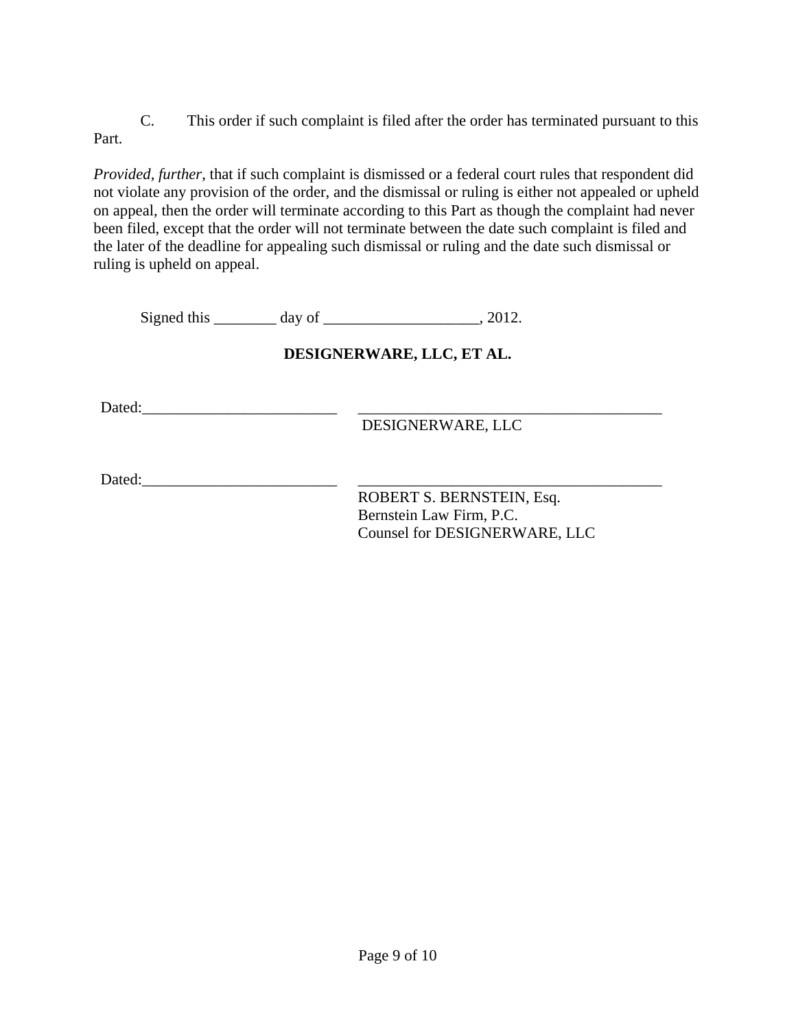C. This order if such complaint is filed after the order has terminated pursuant to this Part.

*Provided, further*, that if such complaint is dismissed or a federal court rules that respondent did not violate any provision of the order, and the dismissal or ruling is either not appealed or upheld on appeal, then the order will terminate according to this Part as though the complaint had never been filed, except that the order will not terminate between the date such complaint is filed and the later of the deadline for appealing such dismissal or ruling and the date such dismissal or ruling is upheld on appeal.

Signed this \_\_\_\_\_\_\_\_ day of \_\_\_\_\_\_\_\_\_\_\_\_\_\_\_\_\_\_\_\_, 2012.

# **DESIGNERWARE, LLC, ET AL.**

Dated:\_\_\_\_\_\_\_\_\_\_\_\_\_\_\_\_\_\_\_\_\_\_\_\_\_ \_\_\_\_\_\_\_\_\_\_\_\_\_\_\_\_\_\_\_\_\_\_\_\_\_\_\_\_\_\_\_\_\_\_\_\_\_\_\_

DESIGNERWARE, LLC

Dated:\_\_\_\_\_\_\_\_\_\_\_\_\_\_\_\_\_\_\_\_\_\_\_\_\_ \_\_\_\_\_\_\_\_\_\_\_\_\_\_\_\_\_\_\_\_\_\_\_\_\_\_\_\_\_\_\_\_\_\_\_\_\_\_\_

ROBERT S. BERNSTEIN, Esq. Bernstein Law Firm, P.C. Counsel for DESIGNERWARE, LLC